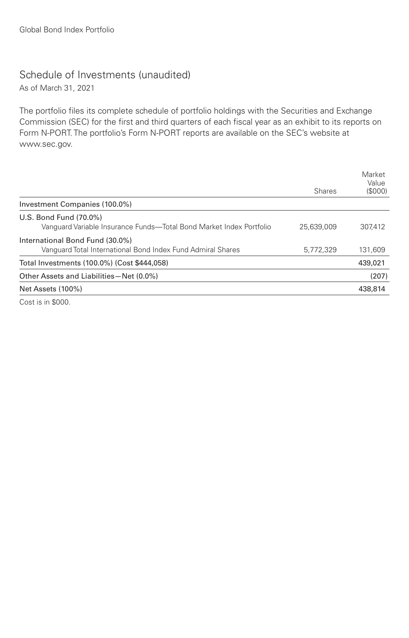## Schedule of Investments (unaudited)

As of March 31, 2021

The portfolio files its complete schedule of portfolio holdings with the Securities and Exchange Commission (SEC) for the first and third quarters of each fiscal year as an exhibit to its reports on Form N-PORT. The portfolio's Form N-PORT reports are available on the SEC's website at www.sec.gov.

|                                                                                                | <b>Shares</b> | Market<br>Value<br>(S000) |
|------------------------------------------------------------------------------------------------|---------------|---------------------------|
| Investment Companies (100.0%)                                                                  |               |                           |
| U.S. Bond Fund (70.0%)<br>Vanguard Variable Insurance Funds—Total Bond Market Index Portfolio  | 25,639,009    | 307.412                   |
| International Bond Fund (30.0%)<br>Vanquard Total International Bond Index Fund Admiral Shares | 5.772.329     | 131.609                   |
| Total Investments (100.0%) (Cost \$444,058)                                                    |               | 439,021                   |
| Other Assets and Liabilities - Net (0.0%)                                                      |               | (207)                     |
| Net Assets (100%)                                                                              |               | 438,814                   |
|                                                                                                |               |                           |

Cost is in \$000.